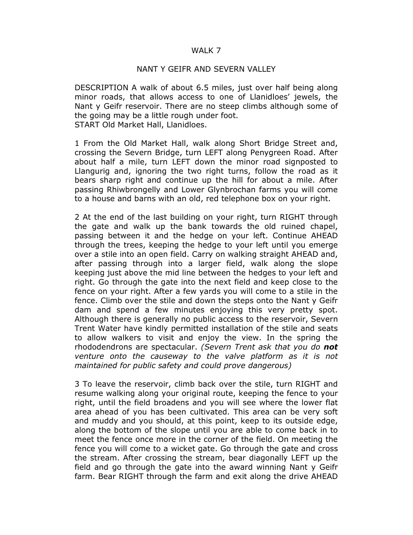## WALK 7

## NANT Y GEIFR AND SEVERN VALLEY

DESCRIPTION A walk of about 6.5 miles, just over half being along minor roads, that allows access to one of Llanidloes' jewels, the Nant y Geifr reservoir. There are no steep climbs although some of the going may be a little rough under foot. START Old Market Hall, Llanidloes.

1 From the Old Market Hall, walk along Short Bridge Street and, crossing the Severn Bridge, turn LEFT along Penygreen Road. After about half a mile, turn LEFT down the minor road signposted to Llangurig and, ignoring the two right turns, follow the road as it bears sharp right and continue up the hill for about a mile. After passing Rhiwbrongelly and Lower Glynbrochan farms you will come to a house and barns with an old, red telephone box on your right.

2 At the end of the last building on your right, turn RIGHT through the gate and walk up the bank towards the old ruined chapel, passing between it and the hedge on your left. Continue AHEAD through the trees, keeping the hedge to your left until you emerge over a stile into an open field. Carry on walking straight AHEAD and, after passing through into a larger field, walk along the slope keeping just above the mid line between the hedges to your left and right. Go through the gate into the next field and keep close to the fence on your right. After a few yards you will come to a stile in the fence. Climb over the stile and down the steps onto the Nant y Geifr dam and spend a few minutes enjoying this very pretty spot. Although there is generally no public access to the reservoir, Severn Trent Water have kindly permitted installation of the stile and seats to allow walkers to visit and enjoy the view. In the spring the rhododendrons are spectacular. (Severn Trent ask that you do **not** venture onto the causeway to the valve platform as it is not maintained for public safety and could prove dangerous)

3 To leave the reservoir, climb back over the stile, turn RIGHT and resume walking along your original route, keeping the fence to your right, until the field broadens and you will see where the lower flat area ahead of you has been cultivated. This area can be very soft and muddy and you should, at this point, keep to its outside edge, along the bottom of the slope until you are able to come back in to meet the fence once more in the corner of the field. On meeting the fence you will come to a wicket gate. Go through the gate and cross the stream. After crossing the stream, bear diagonally LEFT up the field and go through the gate into the award winning Nant y Geifr farm. Bear RIGHT through the farm and exit along the drive AHEAD